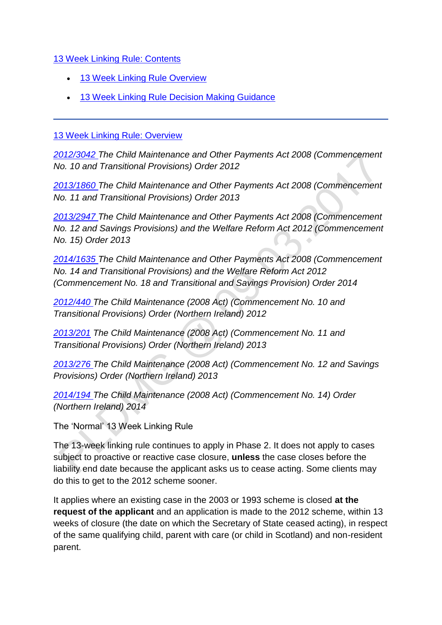[13 Week Linking Rule: Contents](http://np-cmg-sharepoint.link2.gpn.gov.uk/sites/policy-law-and-decision-making-guidance/Pages/13-Week-Linking-Rule.aspx?ControlMode=Edit&DisplayMode=Design)

- [13 Week Linking Rule Overview](http://np-cmg-sharepoint.link2.gpn.gov.uk/sites/policy-law-and-decision-making-guidance/Pages/13-Week-Linking-Rule.aspx#13%20Week%20Linking%20Rule%3a%20Overview)
- [13 Week Linking Rule Decision Making Guidance](http://np-cmg-sharepoint.link2.gpn.gov.uk/sites/policy-law-and-decision-making-guidance/Pages/13-Week-Linking-Rule.aspx#13%20Week%20Linking%20Rule%3a%20Decision%20Making%20Guidance)

#### [13 Week Linking Rule: Overview](http://np-cmg-sharepoint.link2.gpn.gov.uk/sites/policy-law-and-decision-making-guidance/Pages/13-Week-Linking-Rule.aspx?ControlMode=Edit&DisplayMode=Design)

*[2012/3042 T](http://www.legislation.gov.uk/uksi/2012/3042)he Child Maintenance and Other Payments Act 2008 (Commencement No. 10 and Transitional Provisions) Order 2012* 

*[2013/1860 T](http://www.legislation.gov.uk/uksi/2013/1860/contents/made)he Child Maintenance and Other Payments Act 2008 (Commencement No. 11 and Transitional Provisions) Order 2013*

*[2013/2947 T](http://www.legislation.gov.uk/uksi/2013/2947/contents/made)he Child Maintenance and Other Payments Act 2008 (Commencement No. 12 and Savings Provisions) and the Welfare Reform Act 2012 (Commencement No. 15) Order 2013*

*[2014/1635 T](http://www.legislation.gov.uk/uksi/2014/1635/contents/made)he Child Maintenance and Other Payments Act 2008 (Commencement No. 14 and Transitional Provisions) and the Welfare Reform Act 2012 (Commencement No. 18 and Transitional and Savings Provision) Order 2014* 

*[2012/440 T](http://www.legislation.gov.uk/nisr/2012/440/contents/made)he Child Maintenance (2008 Act) (Commencement No. 10 and Transitional Provisions) Order (Northern Ireland) 2012*

*[2013/201](http://www.legislation.gov.uk/nisr/2013/201/contents/made) The Child Maintenance (2008 Act) (Commencement No. 11 and Transitional Provisions) Order (Northern Ireland) 2013*

*[2013/276 T](http://www.legislation.gov.uk/nisr/2013/276/contents/made)he Child Maintenance (2008 Act) (Commencement No. 12 and Savings Provisions) Order (Northern Ireland) 2013*

*[2014/194 T](http://www.legislation.gov.uk/nisr/2014/194/contents/made)he Child Maintenance (2008 Act) (Commencement No. 14) Order (Northern Ireland) 2014* 

The 'Normal' 13 Week Linking Rule

The 13-week linking rule continues to apply in Phase 2. It does not apply to cases subject to proactive or reactive case closure, **unless** the case closes before the liability end date because the applicant asks us to cease acting. Some clients may do this to get to the 2012 scheme sooner.

It applies where an existing case in the 2003 or 1993 scheme is closed **at the request of the applicant** and an application is made to the 2012 scheme, within 13 weeks of closure (the date on which the Secretary of State ceased acting), in respect of the same qualifying child, parent with care (or child in Scotland) and non-resident parent.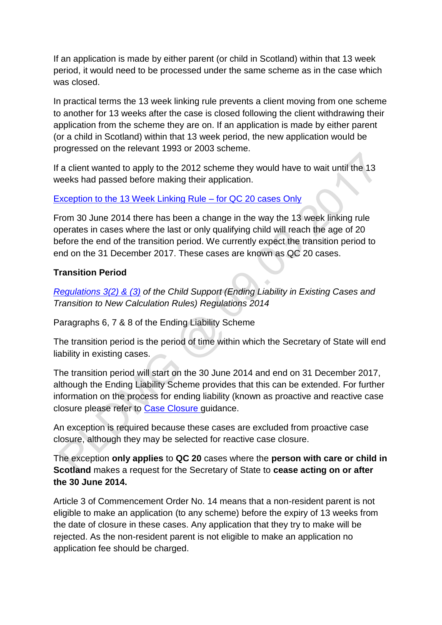If an application is made by either parent (or child in Scotland) within that 13 week period, it would need to be processed under the same scheme as in the case which was closed.

In practical terms the 13 week linking rule prevents a client moving from one scheme to another for 13 weeks after the case is closed following the client withdrawing their application from the scheme they are on. If an application is made by either parent (or a child in Scotland) within that 13 week period, the new application would be progressed on the relevant 1993 or 2003 scheme.

If a client wanted to apply to the 2012 scheme they would have to wait until the 13 weeks had passed before making their application.

#### [Exception to the 13 Week Linking Rule –](http://np-cmg-sharepoint.link2.gpn.gov.uk/sites/policy-law-and-decision-making-guidance/Pages/13-Week-Linking-Rule.aspx) for QC 20 cases Only

From 30 June 2014 there has been a change in the way the 13 week linking rule operates in cases where the last or only qualifying child will reach the age of 20 before the end of the transition period. We currently expect the transition period to end on the 31 December 2017. These cases are known as QC 20 cases.

#### **Transition Period**

*[Regulations 3\(2\) & \(3\)](http://www.legislation.gov.uk/uksi/2014/614/regulation/3/made) of the Child Support (Ending Liability in Existing Cases and Transition to New Calculation Rules) Regulations 2014* 

Paragraphs 6, 7 & 8 of the Ending Liability Scheme

The transition period is the period of time within which the Secretary of State will end liability in existing cases.

The transition period will start on the 30 June 2014 and end on 31 December 2017, although the Ending Liability Scheme provides that this can be extended. For further information on the process for ending liability (known as proactive and reactive case closure please refer to [Case Closure g](http://np-cmg-sharepoint.link2.gpn.gov.uk/sites/policy-law-and-decision-making-guidance/Pages/Case-Closure.aspx)uidance.

An exception is required because these cases are excluded from proactive case closure, although they may be selected for reactive case closure.

The exception **only applies** to **QC 20** cases where the **person with care or child in Scotland** makes a request for the Secretary of State to **cease acting on or after the 30 June 2014.**

Article 3 of Commencement Order No. 14 means that a non-resident parent is not eligible to make an application (to any scheme) before the expiry of 13 weeks from the date of closure in these cases. Any application that they try to make will be rejected. As the non-resident parent is not eligible to make an application no application fee should be charged.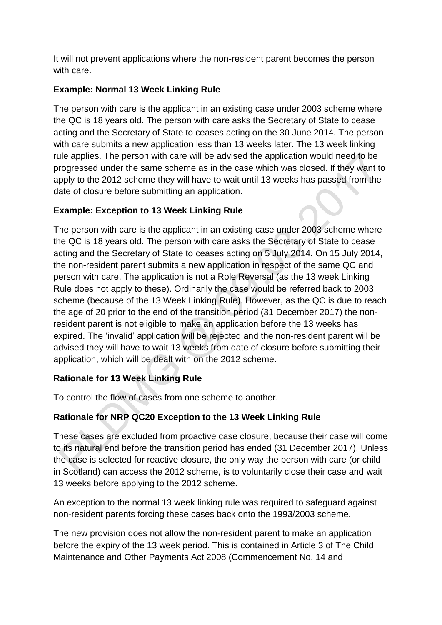It will not prevent applications where the non-resident parent becomes the person with care.

### **Example: Normal 13 Week Linking Rule**

The person with care is the applicant in an existing case under 2003 scheme where the QC is 18 years old. The person with care asks the Secretary of State to cease acting and the Secretary of State to ceases acting on the 30 June 2014. The person with care submits a new application less than 13 weeks later. The 13 week linking rule applies. The person with care will be advised the application would need to be progressed under the same scheme as in the case which was closed. If they want to apply to the 2012 scheme they will have to wait until 13 weeks has passed from the date of closure before submitting an application.

# **Example: Exception to 13 Week Linking Rule**

The person with care is the applicant in an existing case under 2003 scheme where the QC is 18 years old. The person with care asks the Secretary of State to cease acting and the Secretary of State to ceases acting on 5 July 2014. On 15 July 2014, the non-resident parent submits a new application in respect of the same QC and person with care. The application is not a Role Reversal (as the 13 week Linking Rule does not apply to these). Ordinarily the case would be referred back to 2003 scheme (because of the 13 Week Linking Rule). However, as the QC is due to reach the age of 20 prior to the end of the transition period (31 December 2017) the nonresident parent is not eligible to make an application before the 13 weeks has expired. The 'invalid' application will be rejected and the non-resident parent will be advised they will have to wait 13 weeks from date of closure before submitting their application, which will be dealt with on the 2012 scheme.

#### **Rationale for 13 Week Linking Rule**

To control the flow of cases from one scheme to another.

# **Rationale for NRP QC20 Exception to the 13 Week Linking Rule**

These cases are excluded from proactive case closure, because their case will come to its natural end before the transition period has ended (31 December 2017). Unless the case is selected for reactive closure, the only way the person with care (or child in Scotland) can access the 2012 scheme, is to voluntarily close their case and wait 13 weeks before applying to the 2012 scheme.

An exception to the normal 13 week linking rule was required to safeguard against non-resident parents forcing these cases back onto the 1993/2003 scheme.

The new provision does not allow the non-resident parent to make an application before the expiry of the 13 week period. This is contained in Article 3 of The Child Maintenance and Other Payments Act 2008 (Commencement No. 14 and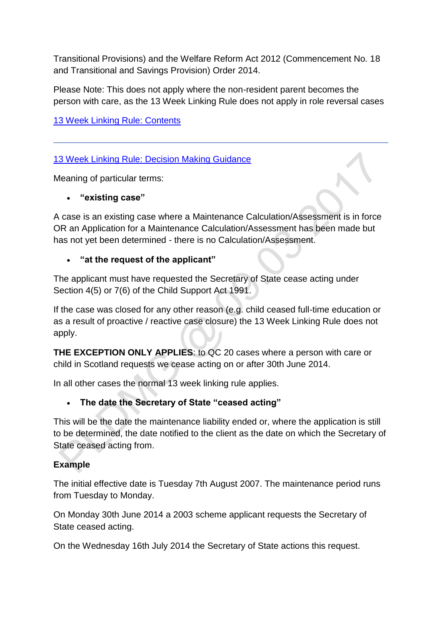Transitional Provisions) and the Welfare Reform Act 2012 (Commencement No. 18 and Transitional and Savings Provision) Order 2014.

Please Note: This does not apply where the non-resident parent becomes the person with care, as the 13 Week Linking Rule does not apply in role reversal cases

[13 Week Linking Rule: Contents](http://np-cmg-sharepoint.link2.gpn.gov.uk/sites/policy-law-and-decision-making-guidance/Pages/13-Week-Linking-Rule.aspx#13%20Week%20Linking%20Rule%3a%20Contents)

# [13 Week Linking Rule: Decision Making Guidance](http://np-cmg-sharepoint.link2.gpn.gov.uk/sites/policy-law-and-decision-making-guidance/Pages/13-Week-Linking-Rule.aspx#13%20Week%20Linking%20Rule%3a%20Decision%20Making%20Guidance)

Meaning of particular terms:

### **"existing case"**

A case is an existing case where a Maintenance Calculation/Assessment is in force OR an Application for a Maintenance Calculation/Assessment has been made but has not yet been determined - there is no Calculation/Assessment.

### **"at the request of the applicant"**

The applicant must have requested the Secretary of State cease acting under Section 4(5) or 7(6) of the Child Support Act 1991.

If the case was closed for any other reason (e.g. child ceased full-time education or as a result of proactive / reactive case closure) the 13 Week Linking Rule does not apply.

**THE EXCEPTION ONLY APPLIES**: to QC 20 cases where a person with care or child in Scotland requests we cease acting on or after 30th June 2014.

In all other cases the normal 13 week linking rule applies.

# **The date the Secretary of State "ceased acting"**

This will be the date the maintenance liability ended or, where the application is still to be determined, the date notified to the client as the date on which the Secretary of State ceased acting from.

# **Example**

The initial effective date is Tuesday 7th August 2007. The maintenance period runs from Tuesday to Monday.

On Monday 30th June 2014 a 2003 scheme applicant requests the Secretary of State ceased acting.

On the Wednesday 16th July 2014 the Secretary of State actions this request.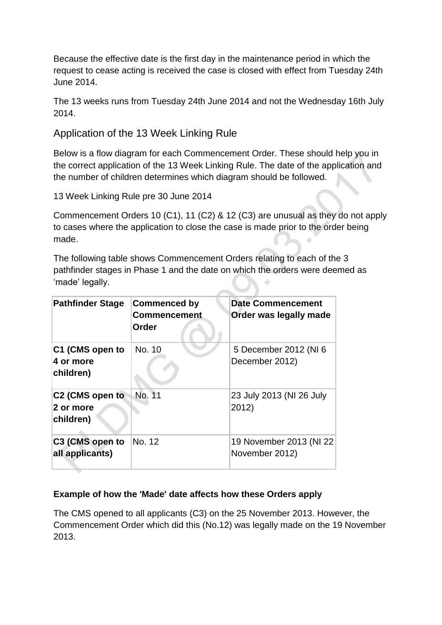Because the effective date is the first day in the maintenance period in which the request to cease acting is received the case is closed with effect from Tuesday 24th June 2014.

The 13 weeks runs from Tuesday 24th June 2014 and not the Wednesday 16th July 2014.

Application of the 13 Week Linking Rule

Below is a flow diagram for each Commencement Order. These should help you in the correct application of the 13 Week Linking Rule. The date of the application and the number of children determines which diagram should be followed.

13 Week Linking Rule pre 30 June 2014

Commencement Orders 10 (C1), 11 (C2) & 12 (C3) are unusual as they do not apply to cases where the application to close the case is made prior to the order being made.

The following table shows Commencement Orders relating to each of the 3 pathfinder stages in Phase 1 and the date on which the orders were deemed as 'made' legally.

| <b>Pathfinder Stage</b>                   | <b>Commenced by</b><br><b>Commencement</b><br>Order | <b>Date Commencement</b><br>Order was legally made |
|-------------------------------------------|-----------------------------------------------------|----------------------------------------------------|
| C1 (CMS open to<br>4 or more<br>children) | No. 10                                              | 5 December 2012 (NI 6<br>December 2012)            |
| C2 (CMS open to<br>2 or more<br>children) | No. 11                                              | 23 July 2013 (NI 26 July<br>2012)                  |
| C3 (CMS open to<br>all applicants)        | No. 12                                              | 19 November 2013 (NI 22<br>November 2012)          |

# **Example of how the 'Made' date affects how these Orders apply**

The CMS opened to all applicants (C3) on the 25 November 2013. However, the Commencement Order which did this (No.12) was legally made on the 19 November 2013.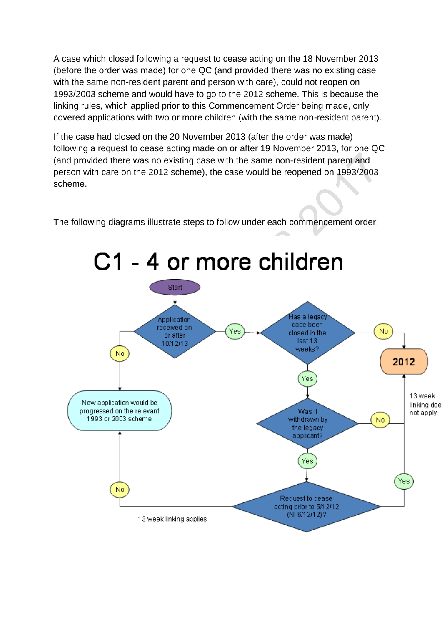A case which closed following a request to cease acting on the 18 November 2013 (before the order was made) for one QC (and provided there was no existing case with the same non-resident parent and person with care), could not reopen on 1993/2003 scheme and would have to go to the 2012 scheme. This is because the linking rules, which applied prior to this Commencement Order being made, only covered applications with two or more children (with the same non-resident parent).

If the case had closed on the 20 November 2013 (after the order was made) following a request to cease acting made on or after 19 November 2013, for one QC (and provided there was no existing case with the same non-resident parent and person with care on the 2012 scheme), the case would be reopened on 1993/2003 scheme.

The following diagrams illustrate steps to follow under each commencement order:

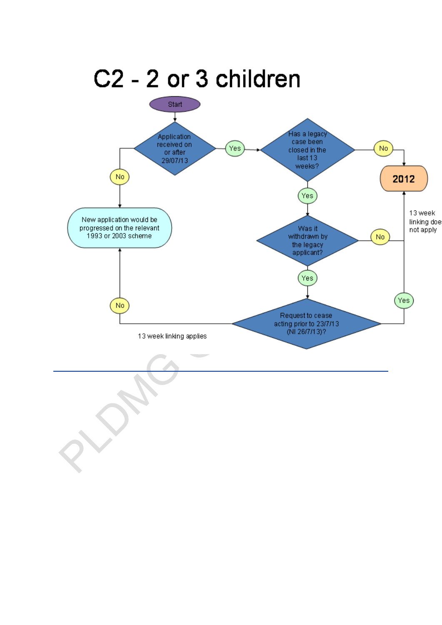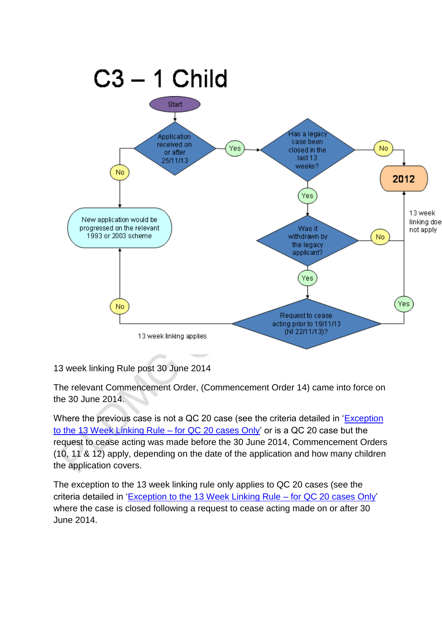

13 week linking Rule post 30 June 2014

The relevant Commencement Order, (Commencement Order 14) came into force on the 30 June 2014.

Where the previous case is not a QC 20 case (see the criteria detailed in ['Exception](http://np-cmg-sharepoint.link2.gpn.gov.uk/sites/policy-law-and-decision-making-guidance/Pages/13-Week-Linking-Rule.aspx#Exception%20to%20the%2013%20Week%20Linking%20Rule%20%e2%80%93%20for%20QC%2020%20cases%20Only)  to the 13 Week Linking Rule – [for QC 20 cases Only'](http://np-cmg-sharepoint.link2.gpn.gov.uk/sites/policy-law-and-decision-making-guidance/Pages/13-Week-Linking-Rule.aspx#Exception%20to%20the%2013%20Week%20Linking%20Rule%20%e2%80%93%20for%20QC%2020%20cases%20Only) or is a QC 20 case but the request to cease acting was made before the 30 June 2014, Commencement Orders (10, 11 & 12) apply, depending on the date of the application and how many children the application covers.

The exception to the 13 week linking rule only applies to QC 20 cases (see the criteria detailed in ['Exception to the 13 Week Linking Rule –](http://np-cmg-sharepoint.link2.gpn.gov.uk/sites/policy-law-and-decision-making-guidance/Pages/13-Week-Linking-Rule.aspx#Exception%20to%20the%2013%20Week%20Linking%20Rule%20%e2%80%93%20for%20QC%2020%20cases%20Only) for QC 20 cases Only' where the case is closed following a request to cease acting made on or after 30 June 2014.